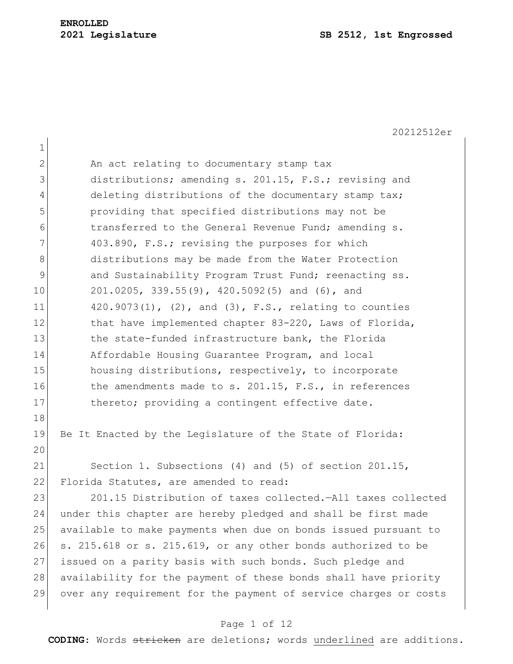20212512er 1 2 An act relating to documentary stamp tax 3 distributions; amending s. 201.15, F.S.; revising and 4 deleting distributions of the documentary stamp tax; 5 providing that specified distributions may not be 6 transferred to the General Revenue Fund; amending s. 7 403.890, F.S.; revising the purposes for which 8 distributions may be made from the Water Protection 9 and Sustainability Program Trust Fund; reenacting ss. 10 201.0205, 339.55(9), 420.5092(5) and (6), and 11  $420.9073(1)$ , (2), and (3), F.S., relating to counties 12 that have implemented chapter 83-220, Laws of Florida, 13 the state-funded infrastructure bank, the Florida 14 Affordable Housing Guarantee Program, and local 15 housing distributions, respectively, to incorporate 16 the amendments made to s. 201.15, F.S., in references 17 thereto; providing a contingent effective date. 18 19 Be It Enacted by the Legislature of the State of Florida: 20 21 Section 1. Subsections (4) and (5) of section 201.15, 22 Florida Statutes, are amended to read: 23 201.15 Distribution of taxes collected.—All taxes collected 24 under this chapter are hereby pledged and shall be first made 25 available to make payments when due on bonds issued pursuant to 26 s. 215.618 or s. 215.619, or any other bonds authorized to be 27 issued on a parity basis with such bonds. Such pledge and 28 availability for the payment of these bonds shall have priority 29 over any requirement for the payment of service charges or costs

### Page 1 of 12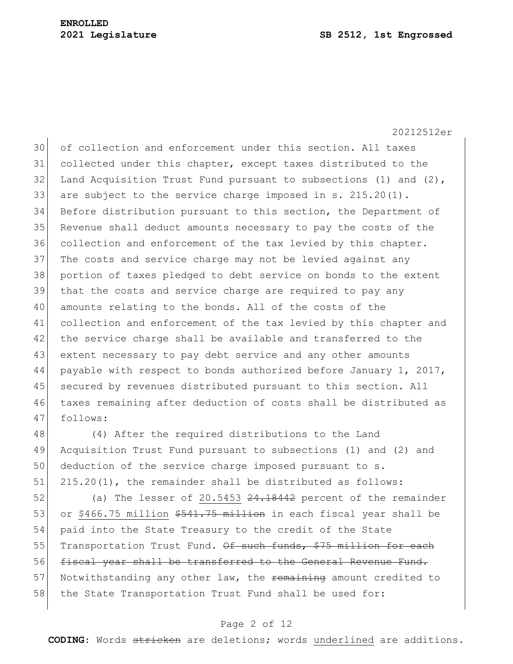20212512er

30 of collection and enforcement under this section. All taxes collected under this chapter, except taxes distributed to the 32 Land Acquisition Trust Fund pursuant to subsections (1) and (2), 33 are subject to the service charge imposed in s.  $215.20(1)$ . Before distribution pursuant to this section, the Department of Revenue shall deduct amounts necessary to pay the costs of the collection and enforcement of the tax levied by this chapter. 37 The costs and service charge may not be levied against any portion of taxes pledged to debt service on bonds to the extent that the costs and service charge are required to pay any amounts relating to the bonds. All of the costs of the collection and enforcement of the tax levied by this chapter and 42 the service charge shall be available and transferred to the 43 extent necessary to pay debt service and any other amounts payable with respect to bonds authorized before January 1, 2017, secured by revenues distributed pursuant to this section. All taxes remaining after deduction of costs shall be distributed as 47 follows:

 (4) After the required distributions to the Land Acquisition Trust Fund pursuant to subsections (1) and (2) and deduction of the service charge imposed pursuant to s. 51 215.20(1), the remainder shall be distributed as follows:

52 (a) The lesser of 20.5453 24.18442 percent of the remainder 53 or \$466.75 million \$541.75 million in each fiscal year shall be 54 paid into the State Treasury to the credit of the State 55 Transportation Trust Fund. Of such funds, \$75 million for each 56 fiscal year shall be transferred to the General Revenue Fund. 57 Notwithstanding any other law, the remaining amount credited to 58 the State Transportation Trust Fund shall be used for:

## Page 2 of 12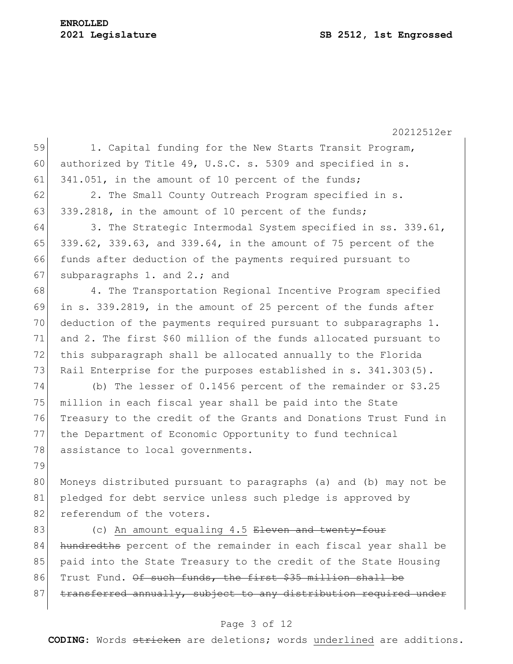# **ENROLLED**

#### **2021 Legislature SB 2512, 1st Engrossed**

20212512er 59 1. Capital funding for the New Starts Transit Program, 60 authorized by Title 49, U.S.C. s. 5309 and specified in s. 61 341.051, in the amount of 10 percent of the funds; 62 2. The Small County Outreach Program specified in s. 63 339.2818, in the amount of 10 percent of the funds; 64 3. The Strategic Intermodal System specified in ss. 339.61, 65 339.62, 339.63, and 339.64, in the amount of 75 percent of the 66 funds after deduction of the payments required pursuant to 67 subparagraphs 1. and 2.; and 68 4. The Transportation Regional Incentive Program specified 69 in s. 339.2819, in the amount of 25 percent of the funds after 70 deduction of the payments required pursuant to subparagraphs 1. 71 and 2. The first \$60 million of the funds allocated pursuant to 72 this subparagraph shall be allocated annually to the Florida 73 Rail Enterprise for the purposes established in s. 341.303(5). 74 (b) The lesser of 0.1456 percent of the remainder or \$3.25 75 million in each fiscal year shall be paid into the State 76 Treasury to the credit of the Grants and Donations Trust Fund in 77 the Department of Economic Opportunity to fund technical 78 assistance to local governments. 79 80 Moneys distributed pursuant to paragraphs (a) and (b) may not be 81 pledged for debt service unless such pledge is approved by 82 referendum of the voters. 83 (c) An amount equaling 4.5 Eleven and twenty-four 84 hundredths percent of the remainder in each fiscal year shall be 85 paid into the State Treasury to the credit of the State Housing 86 Trust Fund. Of such funds, the first \$35 million shall be  $87$  transferred annually, subject to any distribution required under

### Page 3 of 12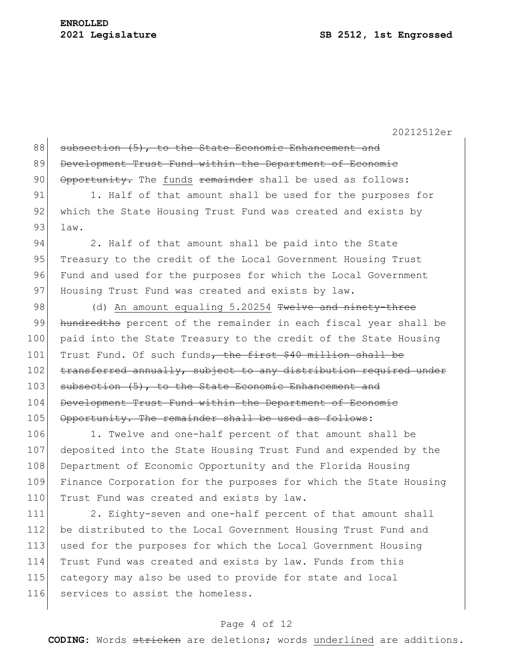## **ENROLLED**

 $\mathbf{r}$ 

20212512er

| 88  | subsection (5), to the State Economic Enhancement and            |
|-----|------------------------------------------------------------------|
| 89  | Development Trust Fund within the Department of Economic         |
| 90  | Opportunity. The funds remainder shall be used as follows:       |
| 91  | 1. Half of that amount shall be used for the purposes for        |
| 92  | which the State Housing Trust Fund was created and exists by     |
| 93  | law.                                                             |
| 94  | 2. Half of that amount shall be paid into the State              |
| 95  | Treasury to the credit of the Local Government Housing Trust     |
| 96  | Fund and used for the purposes for which the Local Government    |
| 97  | Housing Trust Fund was created and exists by law.                |
| 98  | (d) An amount equaling 5.20254 Twelve and ninety-three           |
| 99  | hundredths percent of the remainder in each fiscal year shall be |
| 100 | paid into the State Treasury to the credit of the State Housing  |
| 101 | Trust Fund. Of such funds, the first \$40 million shall be       |
| 102 | transferred annually, subject to any distribution required under |
| 103 | subsection (5), to the State Economic Enhancement and            |
| 104 | Development Trust Fund within the Department of Economic         |
| 105 | Opportunity. The remainder shall be used as follows:             |

106 1. Twelve and one-half percent of that amount shall be 107 deposited into the State Housing Trust Fund and expended by the 108 Department of Economic Opportunity and the Florida Housing 109 Finance Corporation for the purposes for which the State Housing 110 Trust Fund was created and exists by law.

111 2. Eighty-seven and one-half percent of that amount shall 112 be distributed to the Local Government Housing Trust Fund and 113 used for the purposes for which the Local Government Housing 114 Trust Fund was created and exists by law. Funds from this 115 category may also be used to provide for state and local 116 services to assist the homeless.

## Page 4 of 12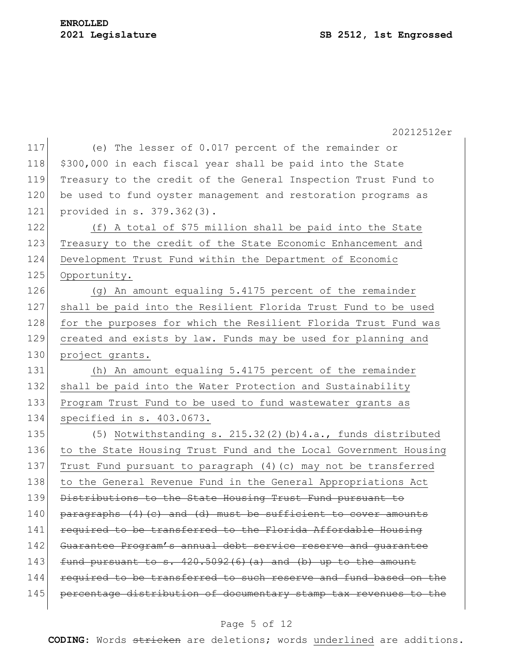|     | 20212512er                                                       |
|-----|------------------------------------------------------------------|
| 117 | (e) The lesser of 0.017 percent of the remainder or              |
| 118 | \$300,000 in each fiscal year shall be paid into the State       |
| 119 | Treasury to the credit of the General Inspection Trust Fund to   |
| 120 | be used to fund oyster management and restoration programs as    |
| 121 | provided in s. 379.362(3).                                       |
| 122 | (f) A total of \$75 million shall be paid into the State         |
| 123 | Treasury to the credit of the State Economic Enhancement and     |
| 124 | Development Trust Fund within the Department of Economic         |
| 125 | Opportunity.                                                     |
| 126 | (g) An amount equaling 5.4175 percent of the remainder           |
| 127 | shall be paid into the Resilient Florida Trust Fund to be used   |
| 128 | for the purposes for which the Resilient Florida Trust Fund was  |
| 129 | created and exists by law. Funds may be used for planning and    |
| 130 | project grants.                                                  |
| 131 | (h) An amount equaling 5.4175 percent of the remainder           |
| 132 | shall be paid into the Water Protection and Sustainability       |
| 133 | Program Trust Fund to be used to fund wastewater grants as       |
| 134 | specified in s. 403.0673.                                        |
| 135 | (5) Notwithstanding s. $215.32(2)$ (b) $4.a.,$ funds distributed |
| 136 | to the State Housing Trust Fund and the Local Government Housing |
| 137 | Trust Fund pursuant to paragraph (4) (c) may not be transferred  |
| 138 | to the General Revenue Fund in the General Appropriations Act    |
| 139 | Distributions to the State Housing Trust Fund pursuant to        |
| 140 | paragraphs (4) (c) and (d) must be sufficient to cover amounts   |
| 141 | required to be transferred to the Florida Affordable Housing     |
| 142 | Guarantee Program's annual debt service reserve and quarantee    |
| 143 | fund pursuant to s. $420.5092(6)(a)$ and (b) up to the amount    |
| 144 | required to be transferred to such reserve and fund based on the |
| 145 | percentage distribution of documentary stamp tax revenues to the |
|     |                                                                  |

## Page 5 of 12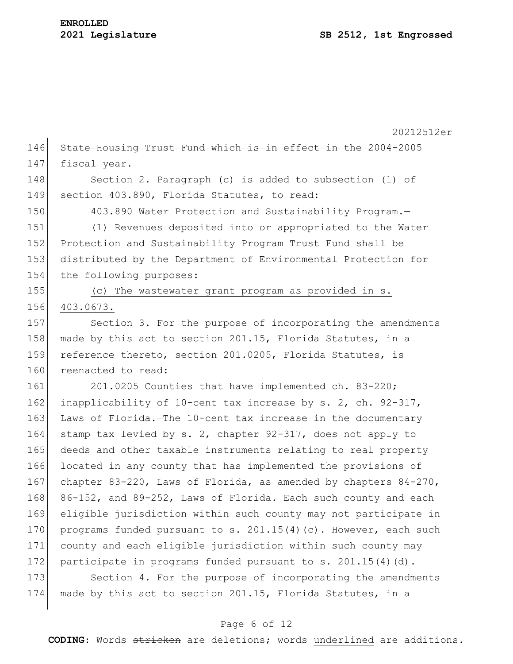20212512er 146 State Housing Trust Fund which is in effect in the 2004-2005  $147$  fiscal year. 148 Section 2. Paragraph (c) is added to subsection (1) of 149 section 403.890, Florida Statutes, to read: 150 403.890 Water Protection and Sustainability Program.-151 (1) Revenues deposited into or appropriated to the Water 152 Protection and Sustainability Program Trust Fund shall be 153 distributed by the Department of Environmental Protection for 154 the following purposes: 155 (c) The wastewater grant program as provided in s. 156 403.0673. 157 Section 3. For the purpose of incorporating the amendments 158 made by this act to section 201.15, Florida Statutes, in a 159 reference thereto, section 201.0205, Florida Statutes, is 160 reenacted to read: 161 201.0205 Counties that have implemented ch. 83-220; 162 inapplicability of 10-cent tax increase by s. 2, ch.  $92-317$ , 163 Laws of Florida.—The 10-cent tax increase in the documentary 164 stamp tax levied by s. 2, chapter 92-317, does not apply to 165 deeds and other taxable instruments relating to real property 166 located in any county that has implemented the provisions of 167 chapter 83-220, Laws of Florida, as amended by chapters 84-270, 168 86-152, and 89-252, Laws of Florida. Each such county and each 169 eligible jurisdiction within such county may not participate in 170 programs funded pursuant to s.  $201.15(4)$  (c). However, each such 171 county and each eligible jurisdiction within such county may 172 participate in programs funded pursuant to s.  $201.15(4)(d)$ . 173 Section 4. For the purpose of incorporating the amendments 174 made by this act to section 201.15, Florida Statutes, in a

## Page 6 of 12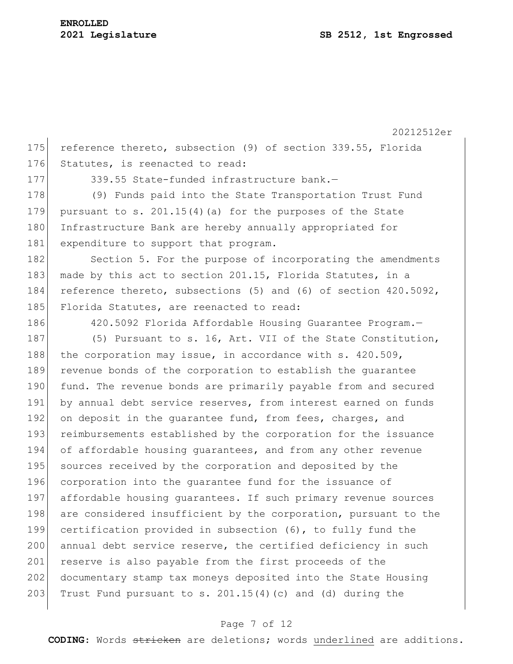20212512er

175 reference thereto, subsection (9) of section 339.55, Florida 176 Statutes, is reenacted to read:

177 339.55 State-funded infrastructure bank.—

178 (9) Funds paid into the State Transportation Trust Fund 179 pursuant to s.  $201.15(4)$  (a) for the purposes of the State 180 Infrastructure Bank are hereby annually appropriated for 181 expenditure to support that program.

182 Section 5. For the purpose of incorporating the amendments 183 made by this act to section 201.15, Florida Statutes, in a 184 reference thereto, subsections (5) and (6) of section 420.5092, 185 Florida Statutes, are reenacted to read:

186 420.5092 Florida Affordable Housing Guarantee Program.-

187 (5) Pursuant to s. 16, Art. VII of the State Constitution, 188 the corporation may issue, in accordance with s.  $420.509$ , 189 revenue bonds of the corporation to establish the guarantee 190 fund. The revenue bonds are primarily payable from and secured 191 by annual debt service reserves, from interest earned on funds 192 on deposit in the quarantee fund, from fees, charges, and 193 reimbursements established by the corporation for the issuance 194 of affordable housing quarantees, and from any other revenue 195 sources received by the corporation and deposited by the 196 corporation into the guarantee fund for the issuance of 197 affordable housing quarantees. If such primary revenue sources 198 are considered insufficient by the corporation, pursuant to the 199 certification provided in subsection (6), to fully fund the 200 annual debt service reserve, the certified deficiency in such 201 reserve is also payable from the first proceeds of the 202 documentary stamp tax moneys deposited into the State Housing 203 Trust Fund pursuant to s.  $201.15(4)(c)$  and (d) during the

### Page 7 of 12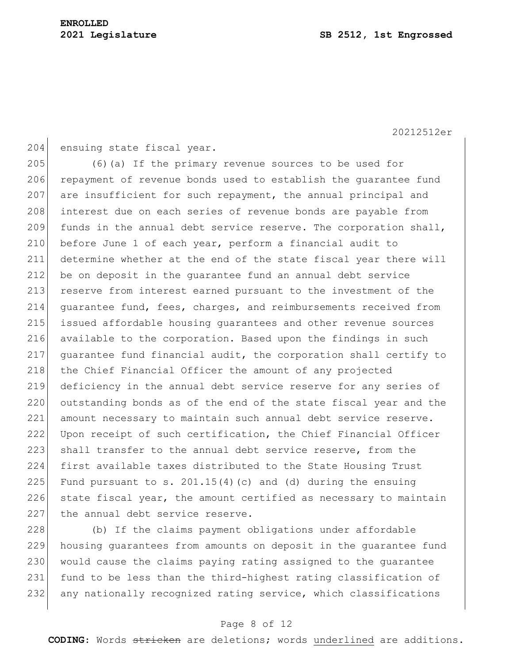20212512er

```
204 ensuing state fiscal year.
```
205 (6)(a) If the primary revenue sources to be used for 206 repayment of revenue bonds used to establish the quarantee fund 207 are insufficient for such repayment, the annual principal and 208 interest due on each series of revenue bonds are payable from 209 funds in the annual debt service reserve. The corporation shall, 210 before June 1 of each year, perform a financial audit to 211 determine whether at the end of the state fiscal year there will 212 be on deposit in the guarantee fund an annual debt service 213 reserve from interest earned pursuant to the investment of the 214 guarantee fund, fees, charges, and reimbursements received from 215 issued affordable housing guarantees and other revenue sources 216 available to the corporation. Based upon the findings in such 217 guarantee fund financial audit, the corporation shall certify to 218 the Chief Financial Officer the amount of any projected 219 deficiency in the annual debt service reserve for any series of 220 outstanding bonds as of the end of the state fiscal year and the 221 amount necessary to maintain such annual debt service reserve. 222 Upon receipt of such certification, the Chief Financial Officer 223 shall transfer to the annual debt service reserve, from the 224 first available taxes distributed to the State Housing Trust 225 Fund pursuant to s. 201.15(4)(c) and (d) during the ensuing 226 state fiscal year, the amount certified as necessary to maintain 227 the annual debt service reserve.

228 (b) If the claims payment obligations under affordable 229 housing guarantees from amounts on deposit in the guarantee fund 230 would cause the claims paying rating assigned to the guarantee 231 fund to be less than the third-highest rating classification of 232 any nationally recognized rating service, which classifications

## Page 8 of 12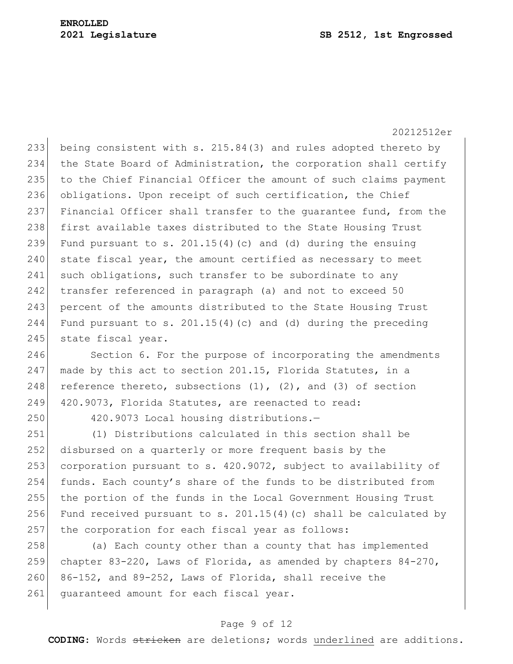20212512er 233 being consistent with s. 215.84(3) and rules adopted thereto by 234 the State Board of Administration, the corporation shall certify 235 to the Chief Financial Officer the amount of such claims payment 236 obligations. Upon receipt of such certification, the Chief 237 Financial Officer shall transfer to the quarantee fund, from the 238 first available taxes distributed to the State Housing Trust 239 Fund pursuant to s. 201.15(4)(c) and (d) during the ensuing 240 state fiscal year, the amount certified as necessary to meet 241 such obligations, such transfer to be subordinate to any 242 transfer referenced in paragraph (a) and not to exceed 50 243 percent of the amounts distributed to the State Housing Trust 244 Fund pursuant to s. 201.15(4) (c) and (d) during the preceding 245 state fiscal year.

246 Section 6. For the purpose of incorporating the amendments 247 made by this act to section 201.15, Florida Statutes, in a 248 reference thereto, subsections  $(1)$ ,  $(2)$ , and  $(3)$  of section 249 420.9073, Florida Statutes, are reenacted to read:

250 420.9073 Local housing distributions.—

251 (1) Distributions calculated in this section shall be 252 disbursed on a quarterly or more frequent basis by the 253 corporation pursuant to s. 420.9072, subject to availability of 254 funds. Each county's share of the funds to be distributed from 255 the portion of the funds in the Local Government Housing Trust 256 Fund received pursuant to s. 201.15(4)(c) shall be calculated by 257 the corporation for each fiscal year as follows:

258 (a) Each county other than a county that has implemented 259 chapter 83-220, Laws of Florida, as amended by chapters 84-270, 260  $86-152$ , and  $89-252$ , Laws of Florida, shall receive the 261 guaranteed amount for each fiscal year.

## Page 9 of 12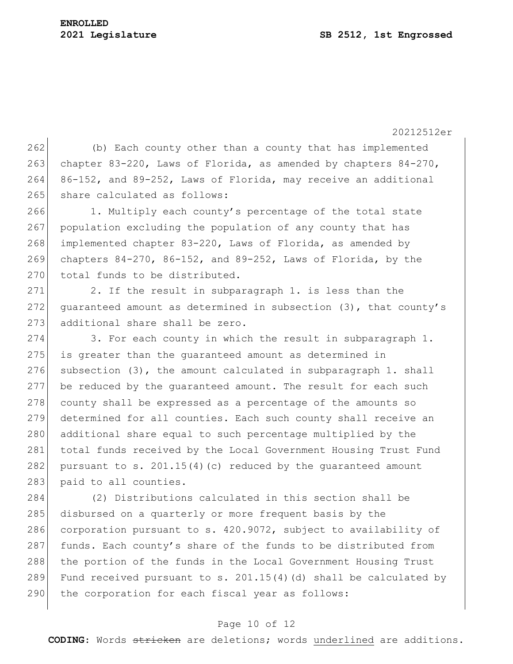## **ENROLLED**

20212512er

262 (b) Each county other than a county that has implemented 263 chapter 83-220, Laws of Florida, as amended by chapters 84-270, 264 86-152, and 89-252, Laws of Florida, may receive an additional 265 share calculated as follows:

266 1. Multiply each county's percentage of the total state 267 population excluding the population of any county that has 268 implemented chapter 83-220, Laws of Florida, as amended by 269 chapters  $84-270$ ,  $86-152$ , and  $89-252$ , Laws of Florida, by the 270 total funds to be distributed.

 $271$  2. If the result in subparagraph 1. is less than the 272 guaranteed amount as determined in subsection (3), that county's 273 additional share shall be zero.

274 3. For each county in which the result in subparagraph 1. 275 is greater than the guaranteed amount as determined in 276 subsection  $(3)$ , the amount calculated in subparagraph 1. shall 277 be reduced by the guaranteed amount. The result for each such  $278$  county shall be expressed as a percentage of the amounts so 279 determined for all counties. Each such county shall receive an 280 additional share equal to such percentage multiplied by the 281 total funds received by the Local Government Housing Trust Fund 282 pursuant to s. 201.15(4)(c) reduced by the quaranteed amount 283 paid to all counties.

284 (2) Distributions calculated in this section shall be 285 disbursed on a quarterly or more frequent basis by the 286 corporation pursuant to s. 420.9072, subject to availability of 287 funds. Each county's share of the funds to be distributed from 288 the portion of the funds in the Local Government Housing Trust 289 Fund received pursuant to s. 201.15(4)(d) shall be calculated by 290 the corporation for each fiscal year as follows:

## Page 10 of 12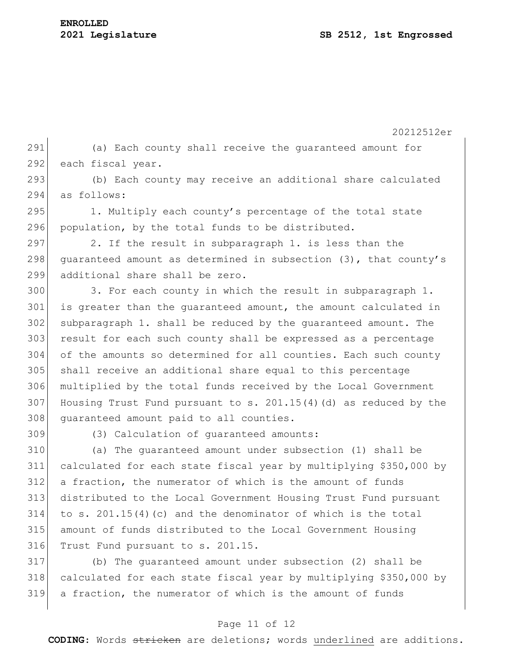20212512er (a) Each county shall receive the guaranteed amount for 292 each fiscal year. 293 (b) Each county may receive an additional share calculated as follows: 1. Multiply each county's percentage of the total state population, by the total funds to be distributed. 297 2. If the result in subparagraph 1. is less than the 298 quaranteed amount as determined in subsection (3), that county's additional share shall be zero. 300 3. For each county in which the result in subparagraph 1. is greater than the guaranteed amount, the amount calculated in subparagraph 1. shall be reduced by the guaranteed amount. The result for each such county shall be expressed as a percentage of the amounts so determined for all counties. Each such county shall receive an additional share equal to this percentage multiplied by the total funds received by the Local Government 307 Housing Trust Fund pursuant to s.  $201.15(4)$  (d) as reduced by the 308 guaranteed amount paid to all counties. (3) Calculation of guaranteed amounts:

 (a) The guaranteed amount under subsection (1) shall be calculated for each state fiscal year by multiplying \$350,000 by 312 a fraction, the numerator of which is the amount of funds distributed to the Local Government Housing Trust Fund pursuant 314 to s. 201.15(4)(c) and the denominator of which is the total amount of funds distributed to the Local Government Housing Trust Fund pursuant to s. 201.15.

 (b) The guaranteed amount under subsection (2) shall be calculated for each state fiscal year by multiplying \$350,000 by a fraction, the numerator of which is the amount of funds

## Page 11 of 12